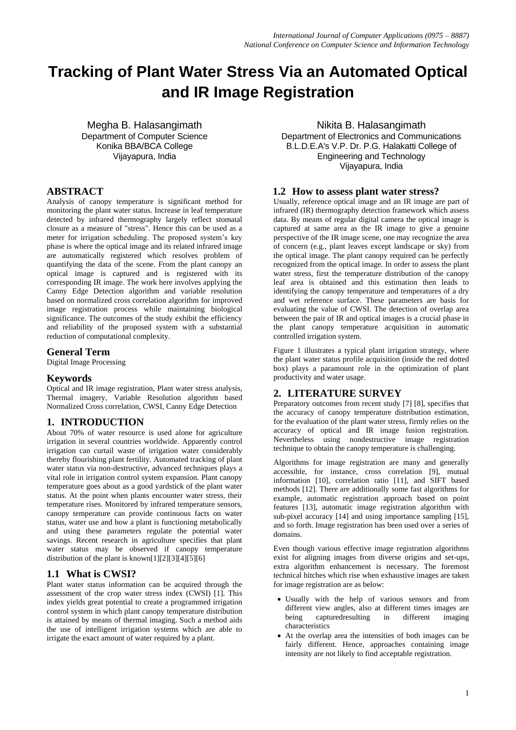# **Tracking of Plant Water Stress Via an Automated Optical and IR Image Registration**

Megha B. Halasangimath Department of Computer Science Konika BBA/BCA College Vijayapura, India

# **ABSTRACT**

Analysis of canopy temperature is significant method for monitoring the plant water status. Increase in leaf temperature detected by infrared thermography largely reflect stomatal closure as a measure of "stress". Hence this can be used as a meter for irrigation scheduling. The proposed system"s key phase is where the optical image and its related infrared image are automatically registered which resolves problem of quantifying the data of the scene. From the plant canopy an optical image is captured and is registered with its corresponding IR image. The work here involves applying the Canny Edge Detection algorithm and variable resolution based on normalized cross correlation algorithm for improved image registration process while maintaining biological significance. The outcomes of the study exhibit the efficiency and reliability of the proposed system with a substantial reduction of computational complexity.

# **General Term**

Digital Image Processing

## **Keywords**

Optical and IR image registration, Plant water stress analysis, Thermal imagery, Variable Resolution algorithm based Normalized Cross correlation, CWSI, Canny Edge Detection

# **1. INTRODUCTION**

About 70% of water resource is used alone for agriculture irrigation in several countries worldwide. Apparently control irrigation can curtail waste of irrigation water considerably thereby flourishing plant fertility. Automated tracking of plant water status via non-destructive, advanced techniques plays a vital role in irrigation control system expansion. Plant canopy temperature goes about as a good yardstick of the plant water status. At the point when plants encounter water stress, their temperature rises. Monitored by infrared temperature sensors, canopy temperature can provide continuous facts on water status, water use and how a plant is functioning metabolically and using these parameters regulate the potential water savings. Recent research in agriculture specifies that plant water status may be observed if canopy temperature distribution of the plant is known[1][2][3][4][5][6]

# **1.1 What is CWSI?**

Plant water status information can be acquired through the assessment of the crop water stress index (CWSI) [1]. This index yields great potential to create a programmed irrigation control system in which plant canopy temperature distribution is attained by means of thermal imaging. Such a method aids the use of intelligent irrigation systems which are able to irrigate the exact amount of water required by a plant.

Nikita B. Halasangimath

Department of Electronics and Communications B.L.D.E.A's V.P. Dr. P.G. Halakatti College of Engineering and Technology Vijayapura, India

## **1.2 How to assess plant water stress?**

Usually, reference optical image and an IR image are part of infrared (IR) thermography detection framework which assess data. By means of regular digital camera the optical image is captured at same area as the IR image to give a genuine perspective of the IR image scene, one may recognize the area of concern (e.g., plant leaves except landscape or sky) from the optical image. The plant canopy required can be perfectly recognized from the optical image. In order to assess the plant water stress, first the temperature distribution of the canopy leaf area is obtained and this estimation then leads to identifying the canopy temperature and temperatures of a dry and wet reference surface. These parameters are basis for evaluating the value of CWSI. The detection of overlap area between the pair of IR and optical images is a crucial phase in the plant canopy temperature acquisition in automatic controlled irrigation system.

Figure 1 illustrates a typical plant irrigation strategy, where the plant water status profile acquisition (inside the red dotted box) plays a paramount role in the optimization of plant productivity and water usage.

# **2. LITERATURE SURVEY**

Preparatory outcomes from recent study [7] [8], specifies that the accuracy of canopy temperature distribution estimation, for the evaluation of the plant water stress, firmly relies on the accuracy of optical and IR image fusion registration. Nevertheless using nondestructive image registration technique to obtain the canopy temperature is challenging.

Algorithms for image registration are many and generally accessible, for instance, cross correlation [9], mutual information [10], correlation ratio [11], and SIFT based methods [12]. There are additionally some fast algorithms for example, automatic registration approach based on point features [13], automatic image registration algorithm with sub-pixel accuracy [14] and using importance sampling [15], and so forth. Image registration has been used over a series of domains.

Even though various effective image registration algorithms exist for aligning images from diverse origins and set-ups, extra algorithm enhancement is necessary. The foremost technical hitches which rise when exhaustive images are taken for image registration are as below:

- Usually with the help of various sensors and from different view angles, also at different times images are being capturedresulting in different imaging characteristics
- At the overlap area the intensities of both images can be fairly different. Hence, approaches containing image intensity are not likely to find acceptable registration.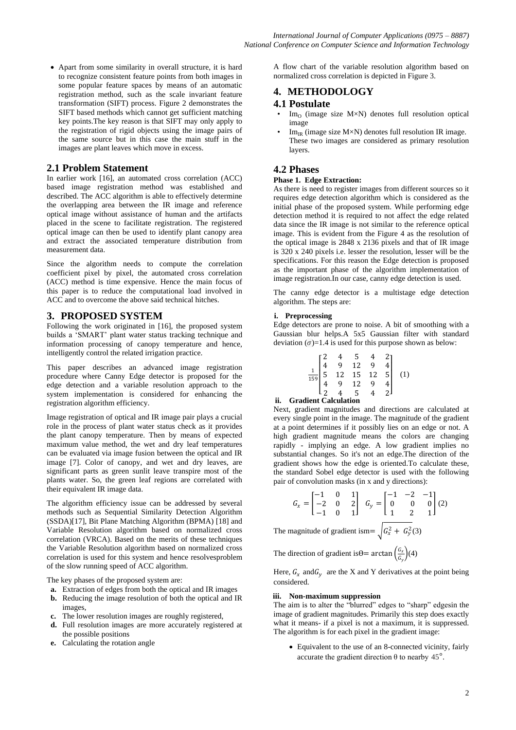Apart from some similarity in overall structure, it is hard to recognize consistent feature points from both images in some popular feature spaces by means of an automatic registration method, such as the scale invariant feature transformation (SIFT) process. Figure 2 demonstrates the SIFT based methods which cannot get sufficient matching key points.The key reason is that SIFT may only apply to the registration of rigid objects using the image pairs of the same source but in this case the main stuff in the images are plant leaves which move in excess.

## **2.1 Problem Statement**

In earlier work [16], an automated cross correlation (ACC) based image registration method was established and described. The ACC algorithm is able to effectively determine the overlapping area between the IR image and reference optical image without assistance of human and the artifacts placed in the scene to facilitate registration. The registered optical image can then be used to identify plant canopy area and extract the associated temperature distribution from measurement data.

Since the algorithm needs to compute the correlation coefficient pixel by pixel, the automated cross correlation (ACC) method is time expensive. Hence the main focus of this paper is to reduce the computational load involved in ACC and to overcome the above said technical hitches.

## **3. PROPOSED SYSTEM**

Following the work originated in [16], the proposed system builds a "SMART" plant water status tracking technique and information processing of canopy temperature and hence, intelligently control the related irrigation practice.

This paper describes an advanced image registration procedure where Canny Edge detector is proposed for the edge detection and a variable resolution approach to the system implementation is considered for enhancing the registration algorithm efficiency.

Image registration of optical and IR image pair plays a crucial role in the process of plant water status check as it provides the plant canopy temperature. Then by means of expected maximum value method, the wet and dry leaf temperatures can be evaluated via image fusion between the optical and IR image [7]. Color of canopy, and wet and dry leaves, are significant parts as green sunlit leave transpire most of the plants water. So, the green leaf regions are correlated with their equivalent IR image data.

The algorithm efficiency issue can be addressed by several methods such as Sequential Similarity Detection Algorithm (SSDA)[17], Bit Plane Matching Algorithm (BPMA) [18] and Variable Resolution algorithm based on normalized cross correlation (VRCA). Based on the merits of these techniques the Variable Resolution algorithm based on normalized cross correlation is used for this system and hence resolvesproblem of the slow running speed of ACC algorithm.

The key phases of the proposed system are:

- **a.** Extraction of edges from both the optical and IR images **b.** Reducing the image resolution of both the optical and IR images,
- **c.** The lower resolution images are roughly registered,
- **d.** Full resolution images are more accurately registered at the possible positions
- **e.** Calculating the rotation angle

A flow chart of the variable resolution algorithm based on normalized cross correlation is depicted in Figure 3.

## **4. METHODOLOGY**

## **4.1 Postulate**

- $Im<sub>O</sub>$  (image size M×N) denotes full resolution optical image
- $Im_{IR}$  (image size M $\times$ N) denotes full resolution IR image. These two images are considered as primary resolution layers.

# **4.2 Phases**

## **Phase 1. Edge Extraction:**

As there is need to register images from different sources so it requires edge detection algorithm which is considered as the initial phase of the proposed system. While performing edge detection method it is required to not affect the edge related data since the IR image is not similar to the reference optical image. This is evident from the Figure 4 as the resolution of the optical image is 2848 x 2136 pixels and that of IR image is 320 x 240 pixels i.e. lesser the resolution, lesser will be the specifications. For this reason the Edge detection is proposed as the important phase of the algorithm implementation of image registration.In our case, canny edge detection is used.

The canny edge detector is a multistage edge detection algorithm. The steps are:

#### **i. Preprocessing**

Edge detectors are prone to noise. A bit of smoothing with a Gaussian blur helps.A 5x5 Gaussian filter with standard deviation  $(\sigma)=1.4$  is used for this purpose shown as below:

| $\begin{array}{c ccccc}\n & 4 & 5 & 4 \\ & 9 & 12 & 5 & 5 \\ & 12 & 15 & 12 & 5 & 5 \\ & 9 & 12 & 9 & 1\n\end{array}$ |  |  |  |
|-----------------------------------------------------------------------------------------------------------------------|--|--|--|
|                                                                                                                       |  |  |  |
|                                                                                                                       |  |  |  |
|                                                                                                                       |  |  |  |
|                                                                                                                       |  |  |  |

## **ii. Gradient Calculation**

Next, gradient magnitudes and directions are calculated at every single point in the image. The magnitude of the gradient at a point determines if it possibly lies on an edge or not. A high gradient magnitude means the colors are changing rapidly - implying an edge. A low gradient implies no substantial changes. So it's not an edge.The direction of the gradient shows how the edge is oriented.To calculate these, the standard Sobel edge detector is used with the following pair of convolution masks (in x and y directions):

$$
G_x = \begin{bmatrix} -1 & 0 & 1 \\ -2 & 0 & 2 \\ -1 & 0 & 1 \end{bmatrix} \quad G_y = \begin{bmatrix} -1 & -2 & -1 \\ 0 & 0 & 0 \\ 1 & 2 & 1 \end{bmatrix} (2)
$$

The magnitude of gradient ism=  $\int G_x^2 + G_y^2(3)$ 

The direction of gradient is  $\theta$  = arctan  $\left(\frac{G_x}{G}\right)$  $\frac{a_x}{a_y}$  (4)

Here,  $G_x$  and  $G_y$  are the X and Y derivatives at the point being considered.

### **iii. Non-maximum suppression**

The aim is to alter the "blurred" edges to "sharp" edgesin the image of gradient magnitudes. Primarily this step does exactly what it means- if a pixel is not a maximum, it is suppressed. The algorithm is for each pixel in the gradient image:

 Equivalent to the use of an 8-connected vicinity, fairly accurate the gradient direction θ to nearby  $45^\circ$ .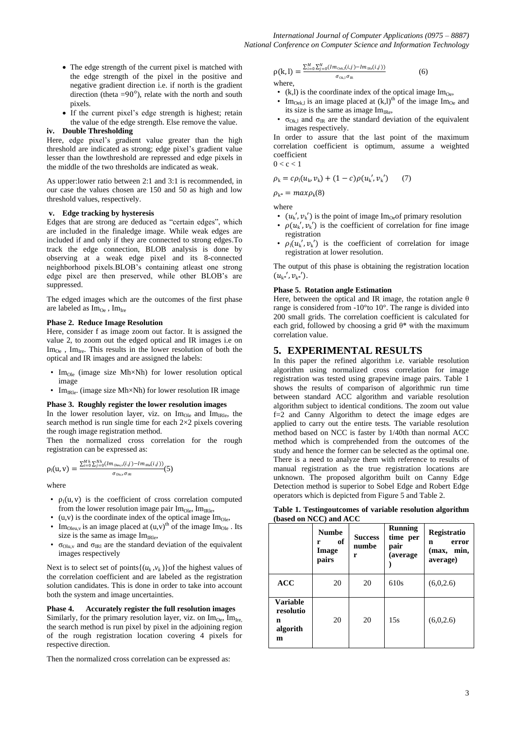- The edge strength of the current pixel is matched with the edge strength of the pixel in the positive and negative gradient direction i.e. if north is the gradient direction (theta =90 $^{\circ}$ ), relate with the north and south pixels.
- If the current pixel"s edge strength is highest; retain the value of the edge strength. Else remove the value.

#### **iv. Double Thresholding**

Here, edge pixel's gradient value greater than the high threshold are indicated as strong; edge pixel"s gradient value lesser than the lowthreshold are repressed and edge pixels in the middle of the two thresholds are indicated as weak.

As upper:lower ratio between 2:1 and 3:1 is recommended, in our case the values chosen are 150 and 50 as high and low threshold values, respectively.

#### **v. Edge tracking by hysteresis**

Edges that are strong are deduced as "certain edges", which are included in the finaledge image. While weak edges are included if and only if they are connected to strong edges.To track the edge connection, BLOB analysis is done by observing at a weak edge pixel and its 8-connected neighborhood pixels.BLOB"s containing atleast one strong edge pixel are then preserved, while other BLOB"s are suppressed.

The edged images which are the outcomes of the first phase are labeled as  $\text{Im}_{\text{Oe}}$ ,  $\text{Im}_{\text{Ire}}$ 

#### **Phase 2. Reduce Image Resolution**

Here, consider f as image zoom out factor. It is assigned the value 2, to zoom out the edged optical and IR images i.e on  $Im_{Oe}$ ,  $Im_{Ire}$ . This results in the lower resolution of both the optical and IR images and are assigned the labels:

- Im<sub>Ole</sub> (image size Mh×Nh) for lower resolution optical image
- Im<sub>IRle</sub>. (image size Mh $\times$ Nh) for lower resolution IR image

#### **Phase 3. Roughly register the lower resolution images**

In the lower resolution layer, viz. on  $Im_{Ole}$  and  $Im_{IRle}$ , the search method is run single time for each  $2\times 2$  pixels covering the rough image registration method.

Then the normalized cross correlation for the rough registration can be expressed as:

$$
\rho_{\text{I}}(u,v) = \frac{\sum_{i=0}^{Mh} \sum_{j=0}^{Nh} (Im_{\text{Oleu,v}}(i,j) - Im_{\text{IRle}}(i,j))}{\sigma_{\text{Olu,v}} \sigma_{\text{IRI}}} (5)
$$

where

- $\rho_1(u, v)$  is the coefficient of cross correlation computed from the lower resolution image pair  $Im_{\Omega_{\rm B}}$ ,  $Im_{\text{B}}$
- (u,v) is the coordinate index of the optical image  $Im<sub>O</sub>$ <sub>le</sub>,
- Im<sub>Oleu,v</sub> is an image placed at  $(u,v)$ <sup>th</sup> of the image Im<sub>Ole</sub>. Its size is the same as image  $Im<sub>IRle</sub>$ ,
- $\sigma_{\text{Olu,v}}$  and  $\sigma_{\text{IR}}$  are the standard deviation of the equivalent images respectively

Next is to select set of points $\{(u_k, v_k)\}$  of the highest values of the correlation coefficient and are labeled as the registration solution candidates. This is done in order to take into account both the system and image uncertainties.

**Phase 4. Accurately register the full resolution images**  Similarly, for the primary resolution layer, viz. on  $\text{Im}_{\text{Oe}}$ ,  $\text{Im}_{\text{Ire}}$ the search method is run pixel by pixel in the adjoining region of the rough registration location covering 4 pixels for respective direction.

Then the normalized cross correlation can be expressed as:

$$
\rho(k, l) = \frac{\sum_{i=0}^{M} \sum_{j=0}^{N} (Im_{\text{Oek},i}(i,j) - Im_{\text{IRe}}(i,j))}{\sigma_{\text{Okl},j}} \tag{6}
$$

where,

- (k,l) is the coordinate index of the optical image  $\text{Im}_{\text{Oe}}$ ,
- Im<sub>Oek,l</sub> is an image placed at  $(k,l)$ <sup>th</sup> of the image Im<sub>Oe</sub> and its size is the same as image  $Im_{IRe}$ ,
- $\sigma_{Ok1}$  and  $\sigma_{IR}$  are the standard deviation of the equivalent images respectively.

In order to assure that the last point of the maximum correlation coefficient is optimum, assume a weighted coefficient  $0 < c < 1$ 

$$
\rho_{k} = c\rho_{l}(u_{k}, v_{k}) + (1 - c)\rho(u_{k}', v_{k}') \qquad (7)
$$

 $\rho_{k*} = max \rho_k(8)$ 

where

- $(u_k', v_k')$  is the point of image Im<sub>Oe</sub>of primary resolution
- $\rho(u_k', v_k')$  is the coefficient of correlation for fine image registration
- $\rho_1(u_k', v_k')$  is the coefficient of correlation for image registration at lower resolution.

The output of this phase is obtaining the registration location  $(u_{k^*}', v_{k^*}')$ .

#### **Phase 5. Rotation angle Estimation**

Here, between the optical and IR image, the rotation angle  $\theta$ range is considered from -10°to 10°. The range is divided into 200 small grids. The correlation coefficient is calculated for each grid, followed by choosing a grid  $\theta^*$  with the maximum correlation value.

## **5. EXPERIMENTAL RESULTS**

In this paper the refined algorithm i.e. variable resolution algorithm using normalized cross correlation for image registration was tested using grapevine image pairs. Table 1 shows the results of comparison of algorithmic run time between standard ACC algorithm and variable resolution algorithm subject to identical conditions. The zoom out value f=2 and Canny Algorithm to detect the image edges are applied to carry out the entire tests. The variable resolution method based on NCC is faster by 1/40th than normal ACC method which is comprehended from the outcomes of the study and hence the former can be selected as the optimal one. There is a need to analyze them with reference to results of manual registration as the true registration locations are unknown. The proposed algorithm built on Canny Edge Detection method is superior to Sobel Edge and Robert Edge operators which is depicted from Figure 5 and Table 2.

**Table 1. Testingoutcomes of variable resolution algorithm (based on NCC) and ACC**

|                                                    | <b>Numbe</b><br>of<br>r<br>Image<br>pairs | <b>Success</b><br>numbe<br>r | <b>Running</b><br>time per<br>pair<br>(average) | Registratio<br>error<br>n<br>(max, min,<br>average) |
|----------------------------------------------------|-------------------------------------------|------------------------------|-------------------------------------------------|-----------------------------------------------------|
| ACC                                                | 20                                        | 20                           | 610s                                            | (6,0,2.6)                                           |
| <b>Variable</b><br>resolutio<br>n<br>algorith<br>m | 20                                        | 20                           | 15s                                             | (6,0,2.6)                                           |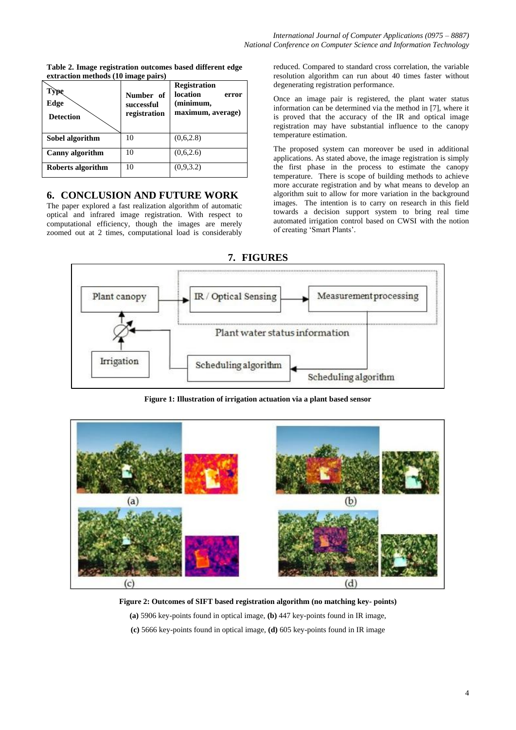| Type<br>Edge<br><b>Detection</b> | Number of<br>successful<br>registration | <b>Registration</b><br>location<br>error<br>(minimum,<br>maximum, average) |
|----------------------------------|-----------------------------------------|----------------------------------------------------------------------------|
| Sobel algorithm                  | 10                                      | (0.6, 2.8)                                                                 |
| <b>Canny</b> algorithm           | 10                                      | (0,6,2.6)                                                                  |
| Roberts algorithm                | 10                                      | (0,9,3.2)                                                                  |

**Table 2. Image registration outcomes based different edge extraction methods (10 image pairs)**

# **6. CONCLUSION AND FUTURE WORK**

The paper explored a fast realization algorithm of automatic optical and infrared image registration. With respect to computational efficiency, though the images are merely zoomed out at 2 times, computational load is considerably

reduced. Compared to standard cross correlation, the variable resolution algorithm can run about 40 times faster without degenerating registration performance.

Once an image pair is registered, the plant water status information can be determined via the method in [7], where it is proved that the accuracy of the IR and optical image registration may have substantial influence to the canopy temperature estimation.

The proposed system can moreover be used in additional applications. As stated above, the image registration is simply the first phase in the process to estimate the canopy temperature. There is scope of building methods to achieve more accurate registration and by what means to develop an algorithm suit to allow for more variation in the background images. The intention is to carry on research in this field towards a decision support system to bring real time automated irrigation control based on CWSI with the notion of creating "Smart Plants".



**Figure 1: Illustration of irrigation actuation via a plant based sensor**



**Figure 2: Outcomes of SIFT based registration algorithm (no matching key- points)**

**(a)** 5906 key-points found in optical image, **(b)** 447 key-points found in IR image,

**(c)** 5666 key-points found in optical image, **(d)** 605 key-points found in IR image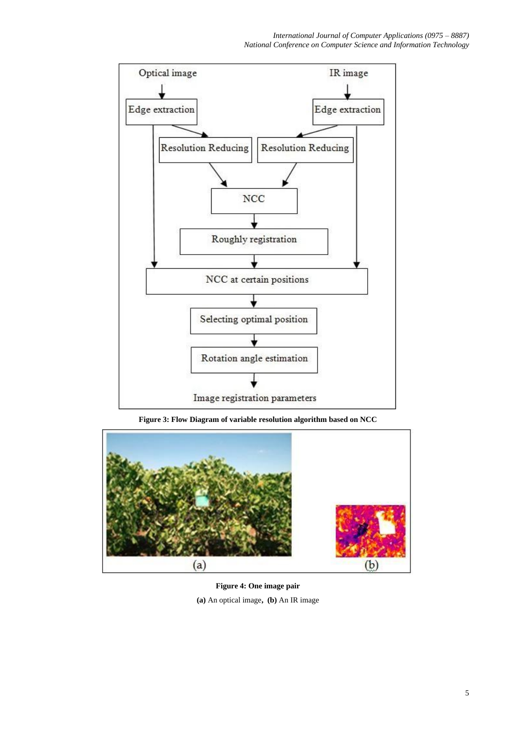

**Figure 3: Flow Diagram of variable resolution algorithm based on NCC**



**Figure 4: One image pair (a)** An optical image**, (b)** An IR image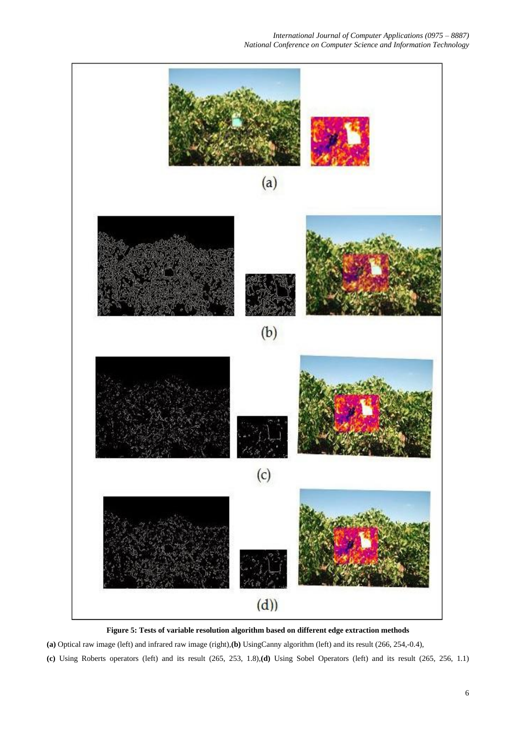

**Figure 5: Tests of variable resolution algorithm based on different edge extraction methods**

**(a)** Optical raw image (left) and infrared raw image (right),**(b)** UsingCanny algorithm (left) and its result (266, 254,-0.4),

**(c)** Using Roberts operators (left) and its result (265, 253, 1.8),**(d)** Using Sobel Operators (left) and its result (265, 256, 1.1)